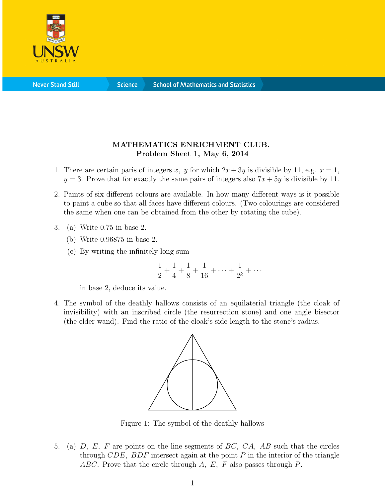

## MATHEMATICS ENRICHMENT CLUB. Problem Sheet 1, May 6, 2014

- 1. There are certain paris of integers x, y for which  $2x + 3y$  is divisible by 11, e.g.  $x = 1$ ,  $y = 3$ . Prove that for exactly the same pairs of integers also  $7x + 5y$  is divisible by 11.
- 2. Paints of six different colours are available. In how many different ways is it possible to paint a cube so that all faces have different colours. (Two colourings are considered the same when one can be obtained from the other by rotating the cube).
- 3. (a) Write 0.75 in base 2.
	- (b) Write 0.96875 in base 2.
	- (c) By writing the infinitely long sum

$$
\frac{1}{2} + \frac{1}{4} + \frac{1}{8} + \frac{1}{16} + \dots + \frac{1}{2^k} + \dots
$$

in base 2, deduce its value.

4. The symbol of the deathly hallows consists of an equilaterial triangle (the cloak of invisibility) with an inscribed circle (the resurrection stone) and one angle bisector (the elder wand). Find the ratio of the cloak's side length to the stone's radius.



Figure 1: The symbol of the deathly hallows

5. (a) D, E, F are points on the line segments of BC, CA, AB such that the circles through CDE, BDF intersect again at the point  $P$  in the interior of the triangle ABC. Prove that the circle through A, E, F also passes through P.